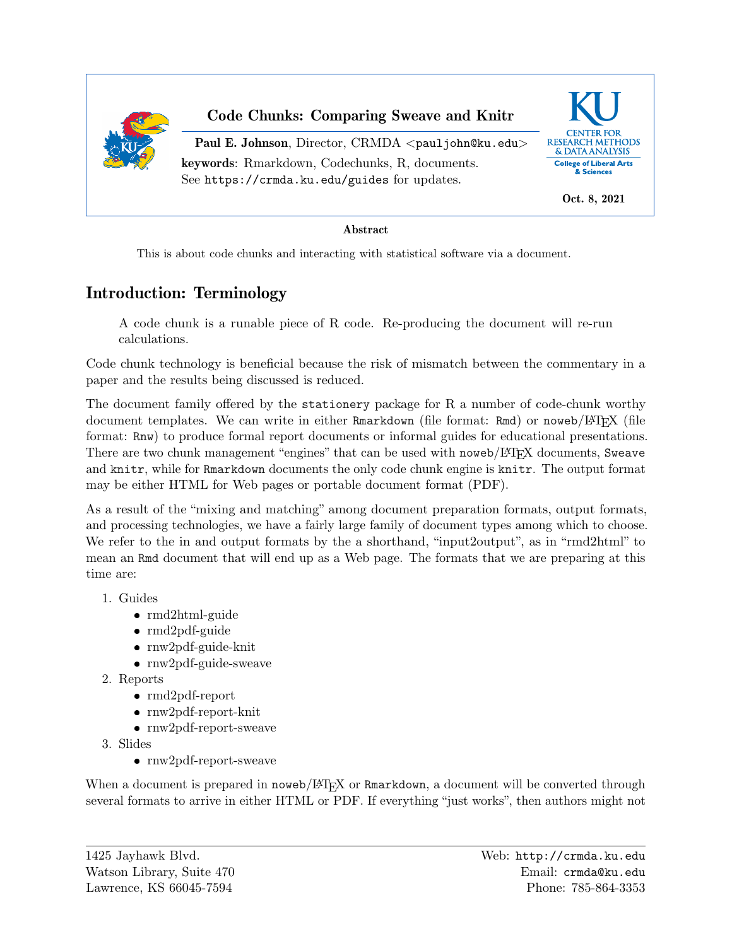

## Code Chunks: Comparing Sweave and Knitr

Paul E. Johnson, Director, CRMDA <[pauljohn@ku.edu](mailto:pauljohn@ku.edu)> keywords: Rmarkdown, Codechunks, R, documents. See <https://crmda.ku.edu/guides> for updates.



Oct. 8, 2021

### Abstract

This is about code chunks and interacting with statistical software via a document.

# Introduction: Terminology

A code chunk is a runable piece of R code. Re-producing the document will re-run calculations.

Code chunk technology is beneficial because the risk of mismatch between the commentary in a paper and the results being discussed is reduced.

The document family offered by the stationery package for R a number of code-chunk worthy document templates. We can write in either Rmarkdown (file format: Rmd) or noweb/LATEX (file format: Rnw) to produce formal report documents or informal guides for educational presentations. There are two chunk management "engines" that can be used with noweb/LATEX documents, Sweave and knitr, while for Rmarkdown documents the only code chunk engine is knitr. The output format may be either HTML for Web pages or portable document format (PDF).

As a result of the "mixing and matching" among document preparation formats, output formats, and processing technologies, we have a fairly large family of document types among which to choose. We refer to the in and output formats by the a shorthand, "input2output", as in "rmd2html" to mean an Rmd document that will end up as a Web page. The formats that we are preparing at this time are:

- 1. Guides
	- ❼ rmd2html-guide
	- rmd2pdf-guide
	- rnw2pdf-guide-knit
	- rnw2pdf-guide-sweave
- 2. Reports
	- ❼ rmd2pdf-report
	- rnw2pdf-report-knit
	- rnw2pdf-report-sweave
- 3. Slides
	- ❼ rnw2pdf-report-sweave

When a document is prepared in noweb/LATEX or Rmarkdown, a document will be converted through several formats to arrive in either HTML or PDF. If everything "just works", then authors might not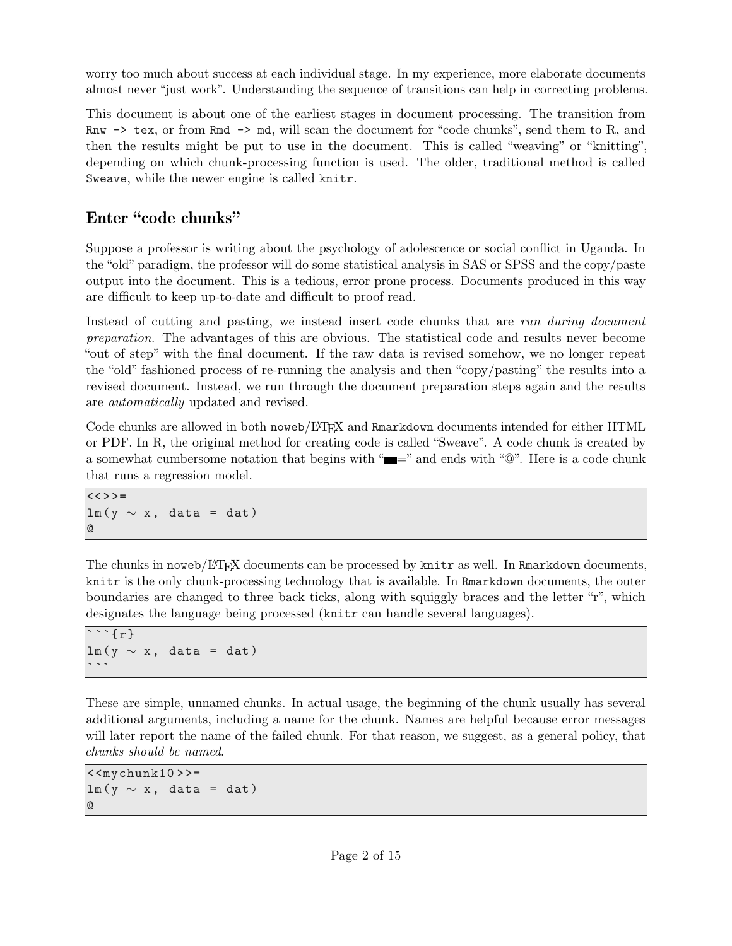worry too much about success at each individual stage. In my experience, more elaborate documents almost never "just work". Understanding the sequence of transitions can help in correcting problems.

This document is about one of the earliest stages in document processing. The transition from Rnw  $\rightarrow$  tex, or from Rmd  $\rightarrow$  md, will scan the document for "code chunks", send them to R, and then the results might be put to use in the document. This is called "weaving" or "knitting", depending on which chunk-processing function is used. The older, traditional method is called Sweave, while the newer engine is called knitr.

## Enter "code chunks"

Suppose a professor is writing about the psychology of adolescence or social conflict in Uganda. In the "old" paradigm, the professor will do some statistical analysis in SAS or SPSS and the copy/paste output into the document. This is a tedious, error prone process. Documents produced in this way are difficult to keep up-to-date and difficult to proof read.

Instead of cutting and pasting, we instead insert code chunks that are run during document preparation. The advantages of this are obvious. The statistical code and results never become "out of step" with the final document. If the raw data is revised somehow, we no longer repeat the "old" fashioned process of re-running the analysis and then "copy/pasting" the results into a revised document. Instead, we run through the document preparation steps again and the results are automatically updated and revised.

Code chunks are allowed in both noweb/LATEX and Rmarkdown documents intended for either HTML or PDF. In R, the original method for creating code is called ["Sweave".](https://leisch.userweb.mwn.de/Sweave) A code chunk is created by a somewhat cumbersome notation that begins with " $\equiv$ " and ends with " $\mathbb{Q}$ ". Here is a code chunk that runs a regression model.

```
<< > > =
lm(y \sim x, data = dat)@
```
The chunks in noweb/L<sup>A</sup>TEX documents can be processed by knitr as well. In Rmarkdown documents, knitr is the only chunk-processing technology that is available. In Rmarkdown documents, the outer boundaries are changed to three back ticks, along with squiggly braces and the letter "r", which designates the language being processed  $(\text{knitr can handle several languages}).$ 

```
\cdots { r }
lm(y \sim x, data = dat)
```
These are simple, unnamed chunks. In actual usage, the beginning of the chunk usually has several additional arguments, including a name for the chunk. Names are helpful because error messages will later report the name of the failed chunk. For that reason, we suggest, as a general policy, that chunks should be named.

```
\langle < mychunk10 > > =
lm(y \sim x, data = dat)@
```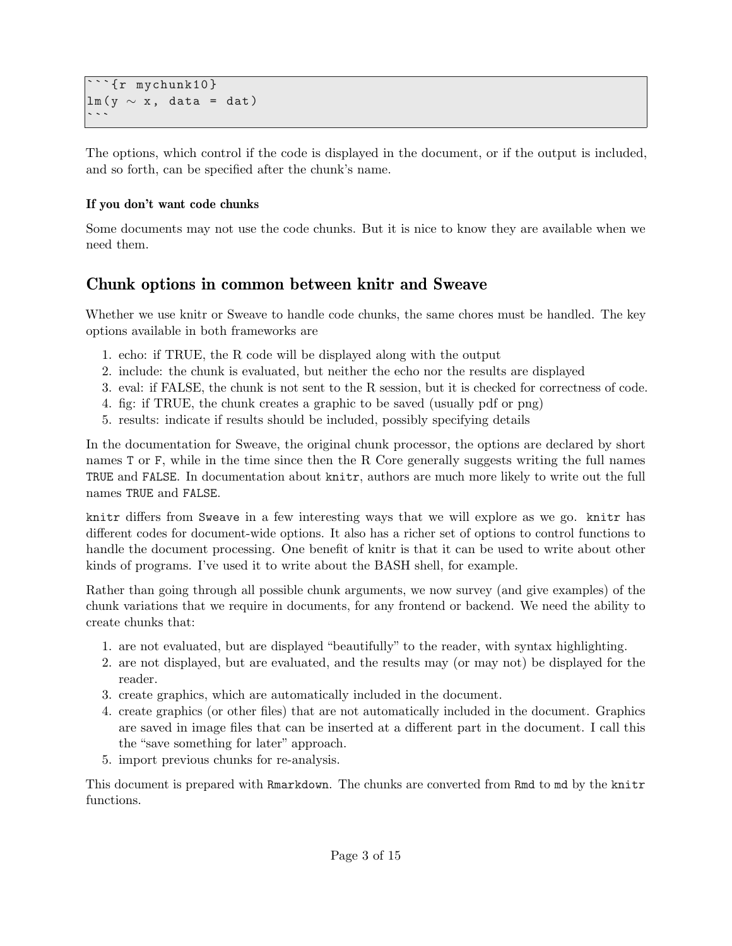```
\cdots{r mychunk10}
lm(y \sim x, data = dat)
```
The options, which control if the code is displayed in the document, or if the output is included, and so forth, can be specified after the chunk's name.

### If you don't want code chunks

Some documents may not use the code chunks. But it is nice to know they are available when we need them.

# Chunk options in common between knitr and Sweave

Whether we use knitr or Sweave to handle code chunks, the same chores must be handled. The key options available in both frameworks are

- 1. echo: if TRUE, the R code will be displayed along with the output
- 2. include: the chunk is evaluated, but neither the echo nor the results are displayed
- 3. eval: if FALSE, the chunk is not sent to the R session, but it is checked for correctness of code.
- 4. fig: if TRUE, the chunk creates a graphic to be saved (usually pdf or png)
- 5. results: indicate if results should be included, possibly specifying details

In the documentation for Sweave, the original chunk processor, the options are declared by short names T or F, while in the time since then the R Core generally suggests writing the full names TRUE and FALSE. In documentation about knitr, authors are much more likely to write out the full names TRUE and FALSE.

knitr differs from Sweave in a few interesting ways that we will explore as we go. knitr has different codes for document-wide options. It also has a richer set of options to control functions to handle the document processing. One benefit of knitr is that it can be used to write about other kinds of programs. I've used it to write about the BASH shell, for example.

Rather than going through all possible chunk arguments, we now survey (and give examples) of the chunk variations that we require in documents, for any frontend or backend. We need the ability to create chunks that:

- 1. are not evaluated, but are displayed "beautifully" to the reader, with syntax highlighting.
- 2. are not displayed, but are evaluated, and the results may (or may not) be displayed for the reader.
- 3. create graphics, which are automatically included in the document.
- 4. create graphics (or other files) that are not automatically included in the document. Graphics are saved in image files that can be inserted at a different part in the document. I call this the "save something for later" approach.
- 5. import previous chunks for re-analysis.

This document is prepared with Rmarkdown. The chunks are converted from Rmd to md by the knitr functions.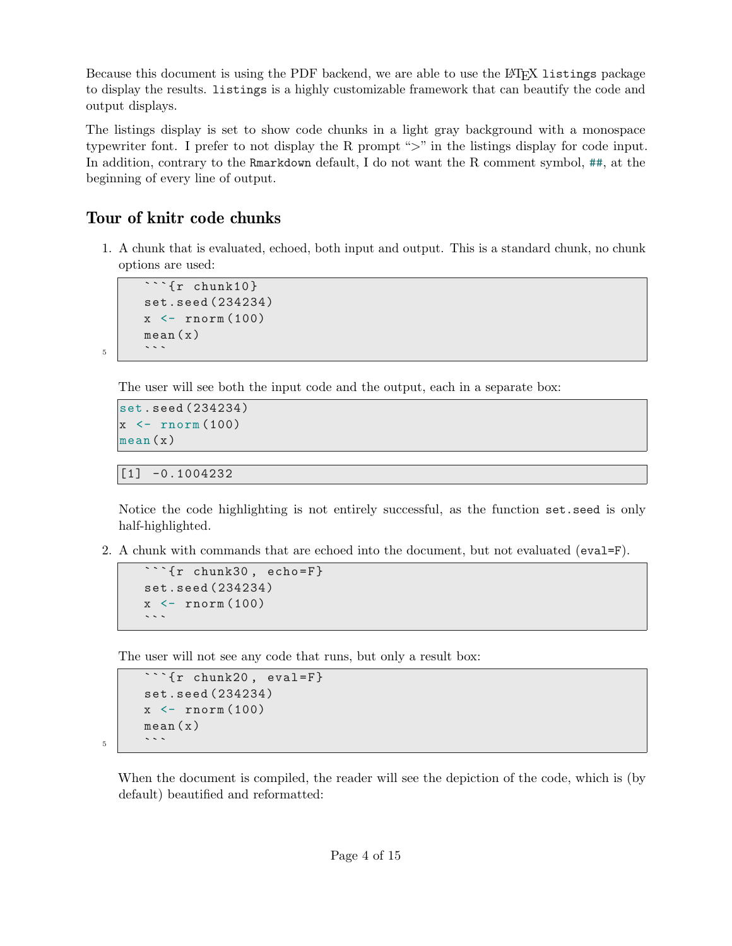Because this document is using the PDF backend, we are able to use the LAT<sub>EX</sub> listings package to display the results. listings is a highly customizable framework that can beautify the code and output displays.

The listings display is set to show code chunks in a light gray background with a monospace typewriter font. I prefer to not display the R prompt ">" in the listings display for code input. In addition, contrary to the Rmarkdown default, I do not want the R comment symbol, ##, at the beginning of every line of output.

## Tour of knitr code chunks

1. A chunk that is evaluated, echoed, both input and output. This is a standard chunk, no chunk options are used:

```
\cdots{r chunk10}
          set.seed (234234)
          x \leftarrow \text{rnorm}(100)\begin{array}{c|c} \text{mean (x)} \\ \text{...} \end{array}
```
The user will see both the input code and the output, each in a separate box:

```
set. seed (234234)
x \leftarrow \text{rnorm}(100)mean (x)
```
[1] -0.1004232

Notice the code highlighting is not entirely successful, as the function set.seed is only half-highlighted.

2. A chunk with commands that are echoed into the document, but not evaluated  $(eval = F)$ .

```
\overline{\text{r r chunk30, echo=F}}set.seed (234234)
x \leftarrow \texttt{rnorm}(100)
```
The user will not see any code that runs, but only a result box:

```
\cdots{r chunk20, eval=F}
          set.seed (234234)
          x \leftarrow \text{rnorm}(100)\begin{array}{c|c} \text{mean (x)} \\ \text{...} \end{array}
```
When the document is compiled, the reader will see the depiction of the code, which is (by default) beautified and reformatted: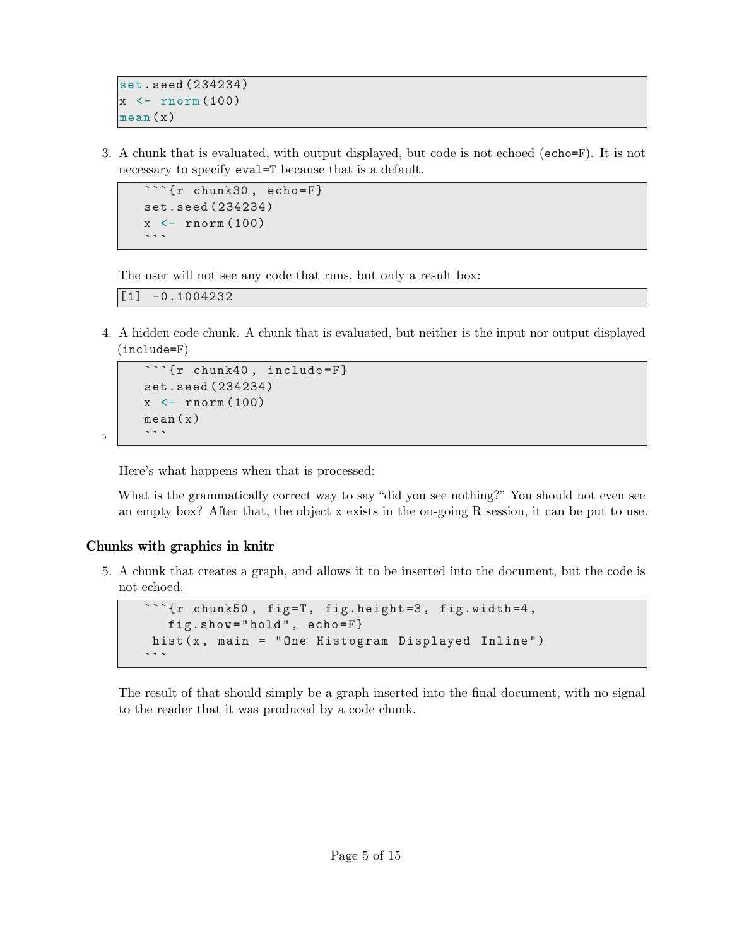```
set. seed (234234)
x \leftarrow \text{rnorm}(100)mean (x)
```
3. A chunk that is evaluated, with output displayed, but code is not echoed (echo=F). It is not necessary to specify eval=T because that is a default.

```
\cdots{r chunk30, echo=F}
set.seed (234234)
x \leftarrow \texttt{rnorm}(100)\sim \sim \sim
```
The user will not see any code that runs, but only a result box:

[1] -0.1004232

4. A hidden code chunk. A chunk that is evaluated, but neither is the input nor output displayed  $(include=F)$ 

```
\frac{1}{\sqrt{r}}chunk40, include=F}
          set.seed (234234)
          x \leftarrow \text{rnorm}(100)\begin{array}{c|c} \text{mean (x)} \\ \text{...} \end{array}
```
Here's what happens when that is processed:

What is the grammatically correct way to say "did you see nothing?" You should not even see an empty box? After that, the object x exists in the on-going R session, it can be put to use.

### Chunks with graphics in knitr

5. A chunk that creates a graph, and allows it to be inserted into the document, but the code is not echoed.

```
```{r chunk50, fig=T, fig.height=3, fig.width=4,
  fig.show =" hold " , echo =F}
hist (x, main = "One Histogram Displayed Inline")
```
The result of that should simply be a graph inserted into the final document, with no signal to the reader that it was produced by a code chunk.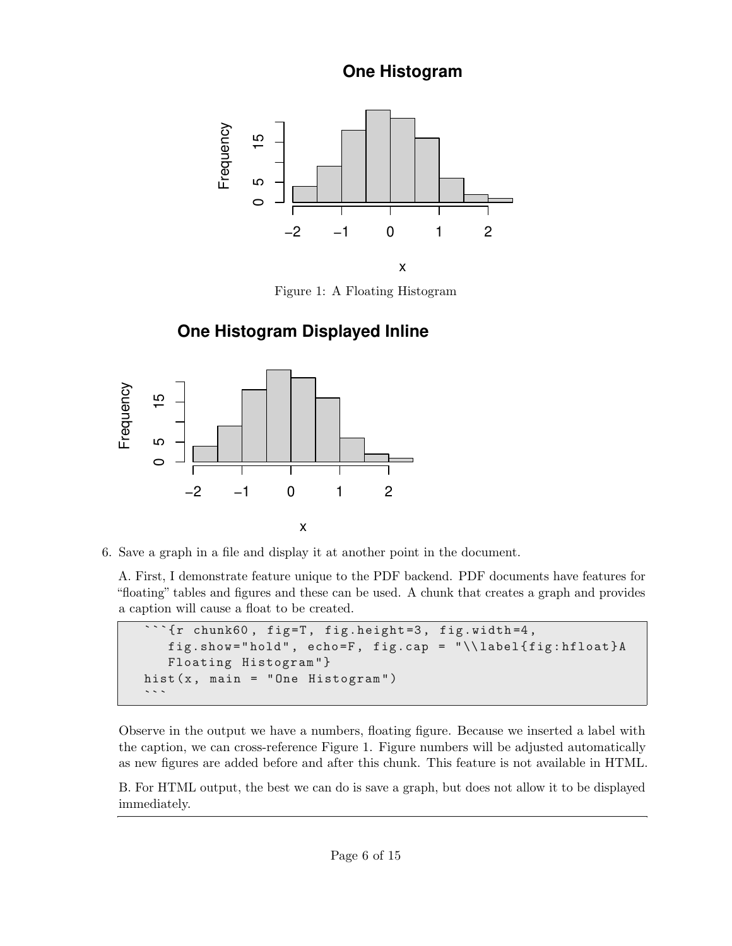# **One Histogram**

<span id="page-5-0"></span>

Figure 1: A Floating Histogram

# **One Histogram Displayed Inline**



6. Save a graph in a file and display it at another point in the document.

A. First, I demonstrate feature unique to the PDF backend. PDF documents have features for "floating" tables and figures and these can be used. A chunk that creates a graph and provides a caption will cause a float to be created.

```
***{r chunk60, fig=T, fig.height=3, fig.width=4,
   fig.show =" hold " , echo =F , fig.cap = " \\ label { fig : hfloat }A
   Floating Histogram "}
hist (x, main = "One Histogram")
```
Observe in the output we have a numbers, floating figure. Because we inserted a label with the caption, we can cross-reference Figure [1.](#page-5-0) Figure numbers will be adjusted automatically as new figures are added before and after this chunk. This feature is not available in HTML.

B. For HTML output, the best we can do is save a graph, but does not allow it to be displayed immediately.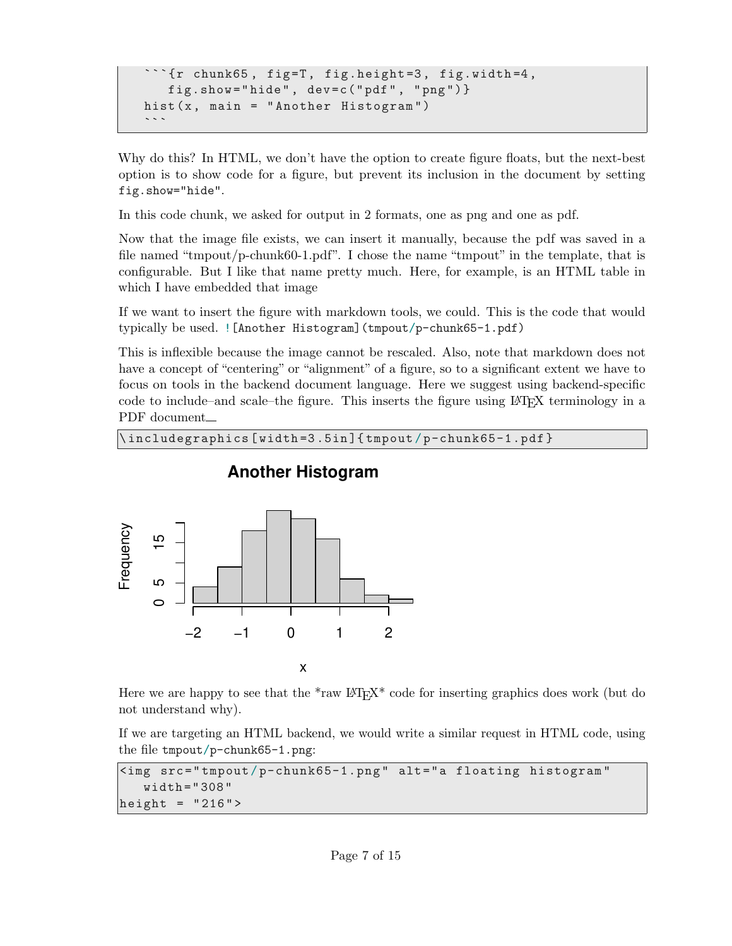```
\sum_{i=1}^{n} (r chunk65, fig=T, fig.height=3, fig.width=4,
   fig.show =" hide " , dev =c(" pdf " , " png ")}
hist (x, main = "Another Histogram")
```
Why do this? In HTML, we don't have the option to create figure floats, but the next-best option is to show code for a figure, but prevent its inclusion in the document by setting fig.show="hide".

In this code chunk, we asked for output in 2 formats, one as png and one as pdf.

Now that the image file exists, we can insert it manually, because the pdf was saved in a file named "tmpout/p-chunk60-1.pdf". I chose the name "tmpout" in the template, that is configurable. But I like that name pretty much. Here, for example, is an HTML table in which I have embedded that image

If we want to insert the figure with markdown tools, we could. This is the code that would typically be used. ![Another Histogram](tmpout/p-chunk65-1.pdf)

This is inflexible because the image cannot be rescaled. Also, note that markdown does not have a concept of "centering" or "alignment" of a figure, so to a significant extent we have to focus on tools in the backend document language. Here we suggest using backend-specific code to include–and scale–the figure. This inserts the figure using L<sup>A</sup>TEX terminology in a PDF document

```
\ includegraphics [ width =3 .5in ]{ tmpout / p-chunk65-1.pdf }
```


## **Another Histogram**

Here we are happy to see that the  $*$ raw LAT<sub>E</sub>X $*$  code for inserting graphics does work (but do not understand why).

If we are targeting an HTML backend, we would write a similar request in HTML code, using the file tmpout/p-chunk65-1.png:

```
\langleimg src="tmpout/p-chunk65-1.png" alt="a floating histogram"
   width =" 308 "
height = "216"
```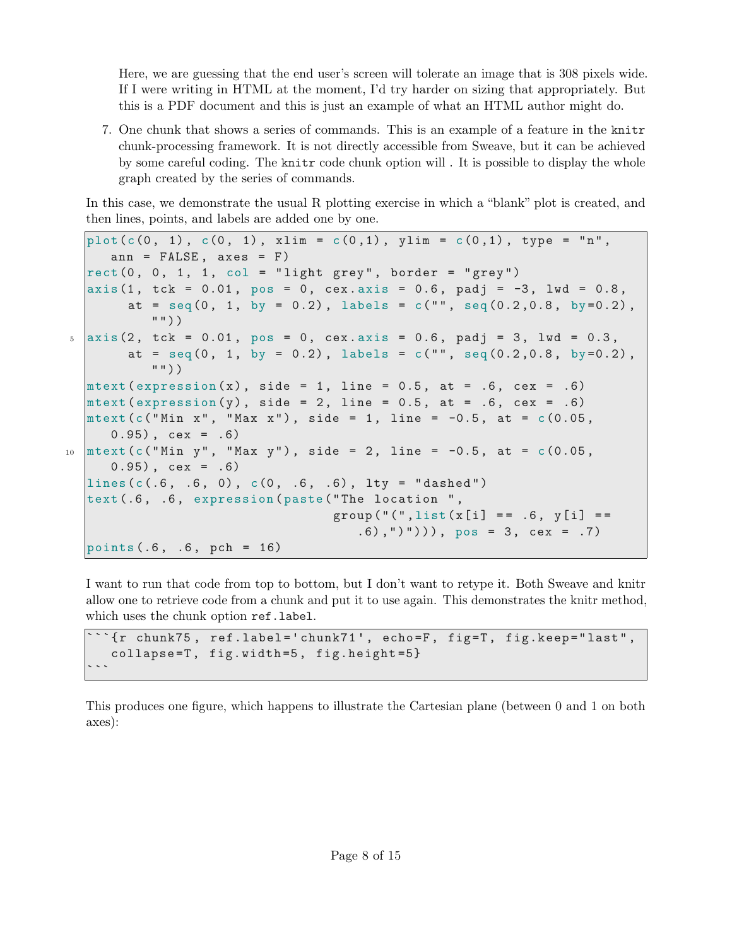Here, we are guessing that the end user's screen will tolerate an image that is 308 pixels wide. If I were writing in HTML at the moment, I'd try harder on sizing that appropriately. But this is a PDF document and this is just an example of what an HTML author might do.

7. One chunk that shows a series of commands. This is an example of a feature in the knitr chunk-processing framework. It is not directly accessible from Sweave, but it can be achieved by some careful coding. The knitr code chunk option will . It is possible to display the whole graph created by the series of commands.

In this case, we demonstrate the usual R plotting exercise in which a "blank" plot is created, and then lines, points, and labels are added one by one.

```
plot(c(0, 1), c(0, 1), xlim = c(0, 1), ylim = c(0, 1), type = "n",ann = FALSE, axes = F)rect(0, 0, 1, 1, col = "light grey", border = "grey")axis (1, tck = 0.01, pos = 0, cex. axis = 0.6, padj = -3, lwd = 0.8,
        at = \text{seq}(0, 1, \text{ by } = 0.2), labels = c("", \text{seq}(0.2, 0.8, \text{ by } = 0.2),
            ""))
5 \text{ axis } (2, \text{ tck } = 0.01, \text{ pos } = 0, \text{ cex. axis } = 0.6, \text{ padj } = 3, \text{ lwd } = 0.3,at = seq(0, 1, by = 0.2), labels = c("", seq(0.2, 0.8, by=0.2),
            " "mtext ( expression (x), side = 1, line = 0.5, at = .6, cex = .6)
  mtext ( expression (y), side = 2, line = 0.5, at = .6, cex = .6)
  mtext{ text}(c("Min x", "Max x"), side = 1, line = -0.5, at = c(0.05,0.95, cex = .6)
10 \text{mtext} (c("Min y", "Max y"), side = 2, line = -0.5, at = c(0.05,
      0.95) , cex = .6)
  lines(c(.6, .6, 0), c(0, .6, .6), lty = "dashed")text (.6, .6, expression (paste ("The location ",
                                     group("(" , list(x[i] == .6 , y[i] ==(0.6),")"))), pos = 3, cex = .7)
  points (.6 , .6 , pch = 16)
```
I want to run that code from top to bottom, but I don't want to retype it. Both Sweave and knitr allow one to retrieve code from a chunk and put it to use again. This demonstrates the knitr method, which uses the chunk option ref.label.

```
\lq\lq \lq \lq \lq \lq \lq \lq \lq \lq \lq \lq \lq \lq \lq \lq \lq \lq \lq \lq \lq \lq \lq \lq \lq \lq \lq \lq \lq \lq \lq \lq \lq \lq \lq \lq \lq \collapse = T, fig.width = 5, fig.height = 5}
```
This produces one figure, which happens to illustrate the Cartesian plane (between 0 and 1 on both axes):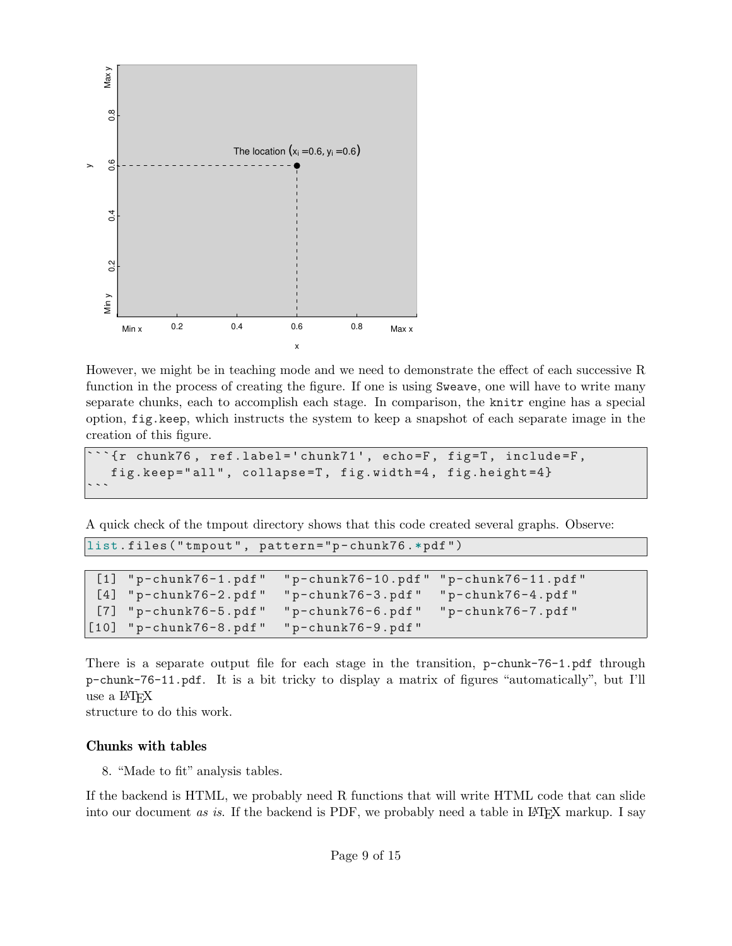

However, we might be in teaching mode and we need to demonstrate the effect of each successive R function in the process of creating the figure. If one is using Sweave, one will have to write many separate chunks, each to accomplish each stage. In comparison, the knitr engine has a special option, fig.keep, which instructs the system to keep a snapshot of each separate image in the creation of this figure.

```
\lq\lq {\rm tr} chunk76, ref.label='chunk71', echo=F, fig=T, include=F,
  fig.keep =" all " , collapse =T , fig.width =4 , fig.height =4}
```
A quick check of the tmpout directory shows that this code created several graphs. Observe:

list . files (" tmpout " , pattern ="p - chunk76 .\*pdf ")

```
[1] " p-chunk76-1.pdf " " p-chunk76-10.pdf " " p-chunk76-11.pdf "
 [4] " p-chunk76-2.pdf " " p-chunk76-3.pdf " " p-chunk76-4.pdf "
 [7] " p-chunk76-5.pdf " " p-chunk76-6.pdf " " p-chunk76-7.pdf "
[10] "p-chunk76-8.pdf" "p-chunk76-9.pdf"
```
There is a separate output file for each stage in the transition, p-chunk-76-1.pdf through p-chunk-76-11.pdf. It is a bit tricky to display a matrix of figures "automatically", but I'll use a L<sup>A</sup>TEX

structure to do this work.

#### Chunks with tables

8. "Made to fit" analysis tables.

If the backend is HTML, we probably need R functions that will write HTML code that can slide into our document as is. If the backend is PDF, we probably need a table in  $\mathbb{F}$ F<sub>F</sub>X markup. I say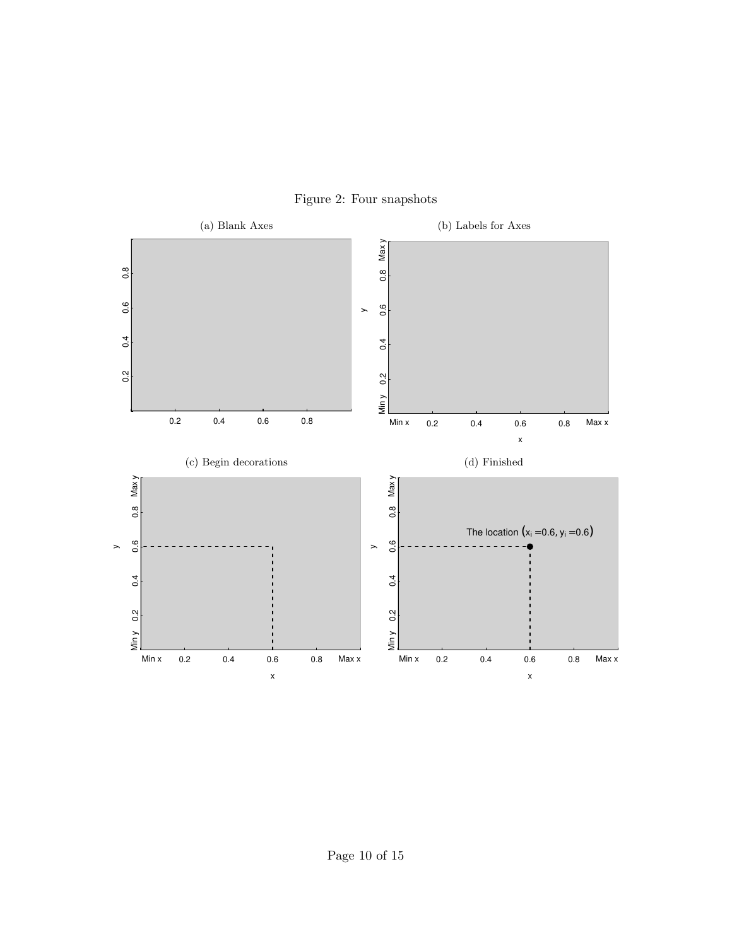

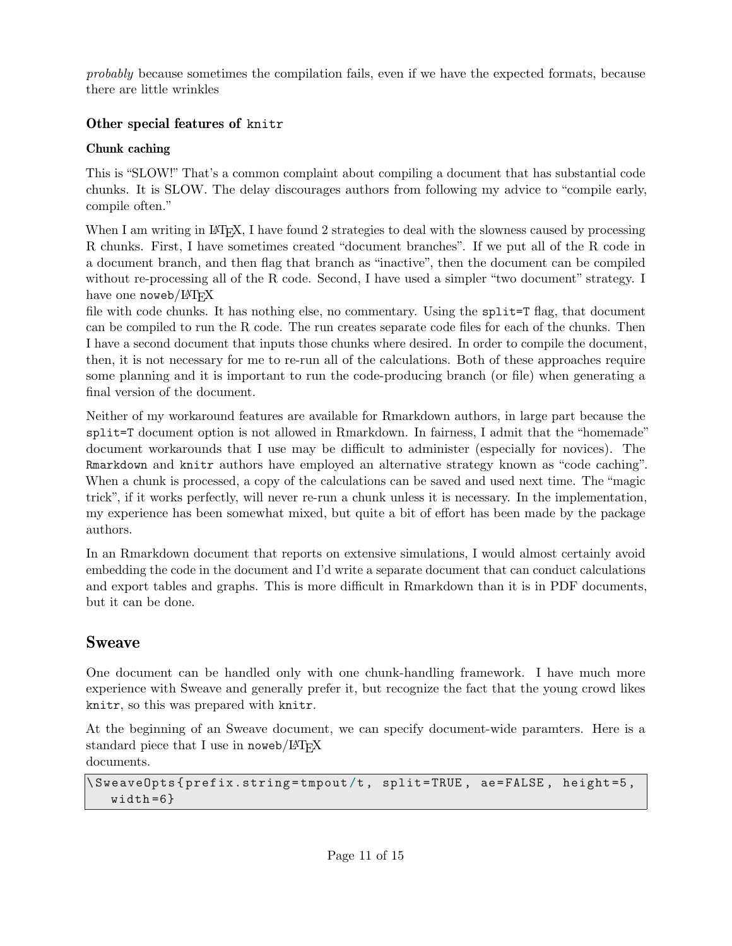probably because sometimes the compilation fails, even if we have the expected formats, because there are little wrinkles

## Other special features of knitr

### Chunk caching

This is "SLOW!" That's a common complaint about compiling a document that has substantial code chunks. It is SLOW. The delay discourages authors from following my advice to "compile early, compile often."

When I am writing in LAT<sub>EX</sub>, I have found 2 strategies to deal with the slowness caused by processing R chunks. First, I have sometimes created "document branches". If we put all of the R code in a document branch, and then flag that branch as "inactive", then the document can be compiled without re-processing all of the R code. Second, I have used a simpler "two document" strategy. I have one noweb/ $\mu$ T<sub>F</sub>X

file with code chunks. It has nothing else, no commentary. Using the split=T flag, that document can be compiled to run the R code. The run creates separate code files for each of the chunks. Then I have a second document that inputs those chunks where desired. In order to compile the document, then, it is not necessary for me to re-run all of the calculations. Both of these approaches require some planning and it is important to run the code-producing branch (or file) when generating a final version of the document.

Neither of my workaround features are available for Rmarkdown authors, in large part because the split=T document option is not allowed in Rmarkdown. In fairness, I admit that the "homemade" document workarounds that I use may be difficult to administer (especially for novices). The Rmarkdown and knitr authors have employed an alternative strategy known as "code caching". When a chunk is processed, a copy of the calculations can be saved and used next time. The "magic trick", if it works perfectly, will never re-run a chunk unless it is necessary. In the implementation, my experience has been somewhat mixed, but quite a bit of effort has been made by the package authors.

In an Rmarkdown document that reports on extensive simulations, I would almost certainly avoid embedding the code in the document and I'd write a separate document that can conduct calculations and export tables and graphs. This is more difficult in Rmarkdown than it is in PDF documents, but it can be done.

# Sweave

One document can be handled only with one chunk-handling framework. I have much more experience with Sweave and generally prefer it, but recognize the fact that the young crowd likes knitr, so this was prepared with knitr.

At the beginning of an Sweave document, we can specify document-wide paramters. Here is a standard piece that I use in noweb/ $\angle$ AT<sub>EX</sub> documents.

```
\ SweaveOpts { prefix.string = tmpout /t , split = TRUE , ae = FALSE , height =5 ,
   width = 6}
```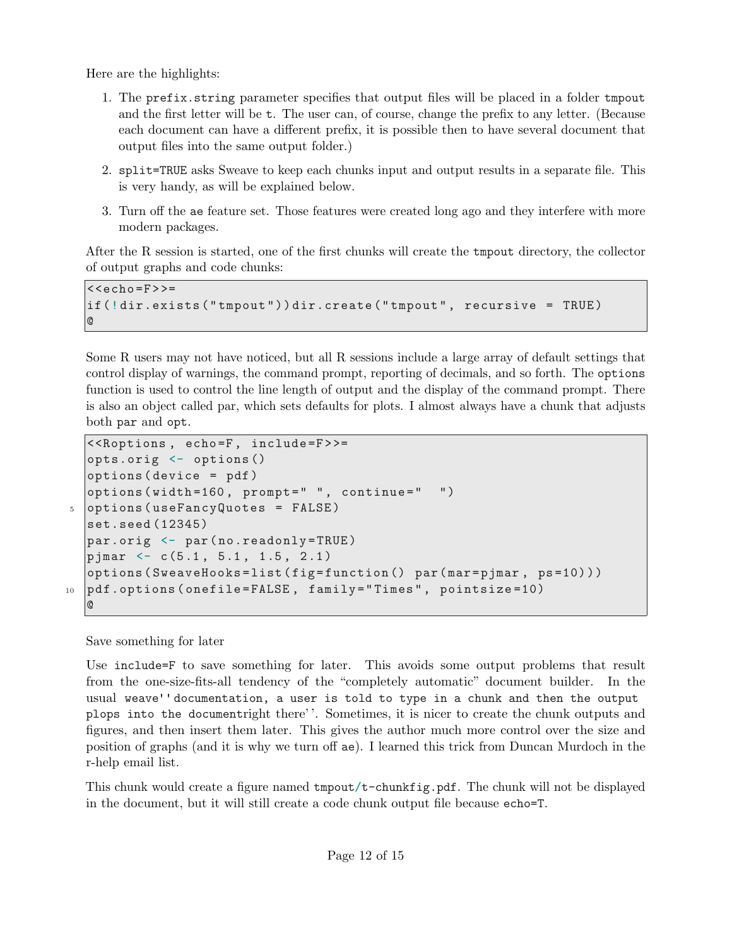Here are the highlights:

- 1. The prefix.string parameter specifies that output files will be placed in a folder tmpout and the first letter will be t. The user can, of course, change the prefix to any letter. (Because each document can have a different prefix, it is possible then to have several document that output files into the same output folder.)
- 2. split=TRUE asks Sweave to keep each chunks input and output results in a separate file. This is very handy, as will be explained below.
- 3. Turn off the ae feature set. Those features were created long ago and they interfere with more modern packages.

After the R session is started, one of the first chunks will create the tmpout directory, the collector of output graphs and code chunks:

```
<<echo =F>>=
if (!dir.exists ("tmpout")) dir.create ("tmpout", recursive = TRUE)
@
```
Some R users may not have noticed, but all R sessions include a large array of default settings that control display of warnings, the command prompt, reporting of decimals, and so forth. The options function is used to control the line length of output and the display of the command prompt. There is also an object called par, which sets defaults for plots. I almost always have a chunk that adjusts both par and opt.

```
<<Roptions , echo =F , include =F > >=
  opts.orig <- options ()
  options ( device = pdf )
  options ( width =160 , prompt =" " , continue =" ")
5 options (useFancyQuotes = FALSE)
  set.seed (12345)
  par.orig <- par ( no.readonly = TRUE )
  pjmar \langle -c(5.1, 5.1, 1.5, 2.1) \rangleoptions (SweaveHooks=list (fig=function() par (mar = pjmar, ps=10)))
10 pdf.options (onefile=FALSE, family="Times", pointsize=10)
   @
```
Save something for later

Use include=F to save something for later. This avoids some output problems that result from the one-size-fits-all tendency of the "completely automatic" document builder. In the usual weave''documentation, a user is told to type in a chunk and then the output plops into the documentright there' '. Sometimes, it is nicer to create the chunk outputs and figures, and then insert them later. This gives the author much more control over the size and position of graphs (and it is why we turn off ae). I learned this trick from Duncan Murdoch in the r-help email list.

This chunk would create a figure named tmpout/t-chunkfig.pdf. The chunk will not be displayed in the document, but it will still create a code chunk output file because echo=T.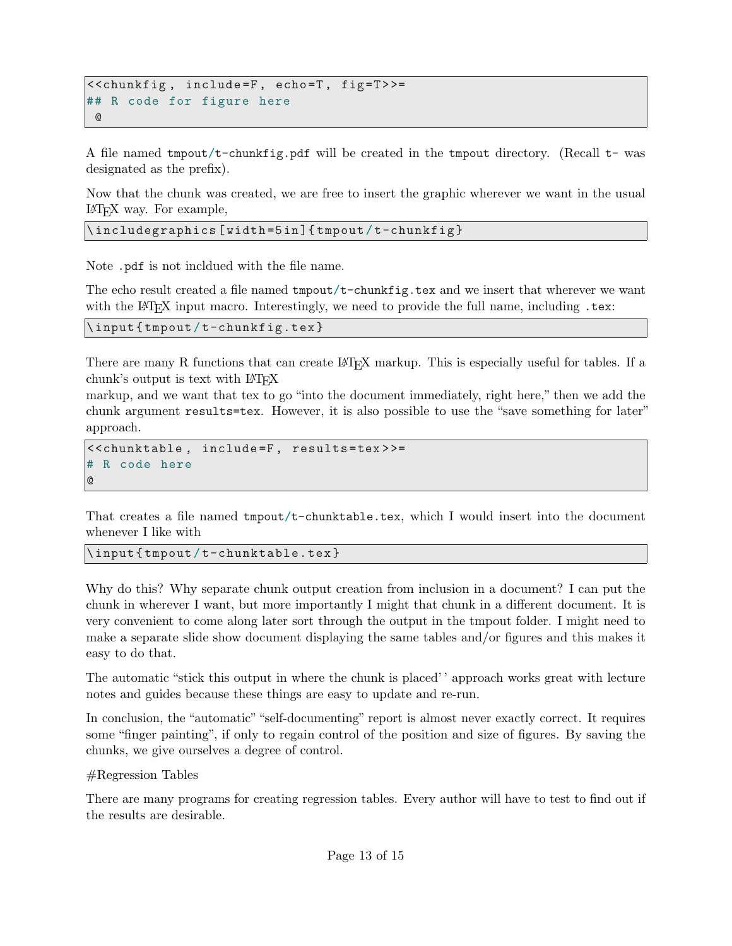```
<<chunkfig , include =F , echo =T , fig =T > >=
## R code for figure here
 @
```
A file named tmpout/t-chunkfig.pdf will be created in the tmpout directory. (Recall t- was designated as the prefix).

Now that the chunk was created, we are free to insert the graphic wherever we want in the usual L<sup>A</sup>TEX way. For example,

\includegraphics [width=5in] {tmpout/t-chunkfig}

Note .pdf is not incldued with the file name.

The echo result created a file named tmpout/t-chunkfig.tex and we insert that wherever we want with the LAT<sub>EX</sub> input macro. Interestingly, we need to provide the full name, including .tex:

```
\input { tmpout / t-chunkfig.tex }
```
There are many R functions that can create LATEX markup. This is especially useful for tables. If a chunk's output is text with  $\text{LATEX}$ 

markup, and we want that tex to go "into the document immediately, right here," then we add the chunk argument results=tex. However, it is also possible to use the "save something for later" approach.

```
<<chunktable , include =F , results = tex > >=
# R code here
@
```
That creates a file named tmpout/t-chunktable.tex, which I would insert into the document whenever I like with

\input { tmpout / t-chunktable.tex }

Why do this? Why separate chunk output creation from inclusion in a document? I can put the chunk in wherever I want, but more importantly I might that chunk in a different document. It is very convenient to come along later sort through the output in the tmpout folder. I might need to make a separate slide show document displaying the same tables and/or figures and this makes it easy to do that.

The automatic "stick this output in where the chunk is placed' ' approach works great with lecture notes and guides because these things are easy to update and re-run.

In conclusion, the "automatic" "self-documenting" report is almost never exactly correct. It requires some "finger painting", if only to regain control of the position and size of figures. By saving the chunks, we give ourselves a degree of control.

#Regression Tables

There are many programs for creating regression tables. Every author will have to test to find out if the results are desirable.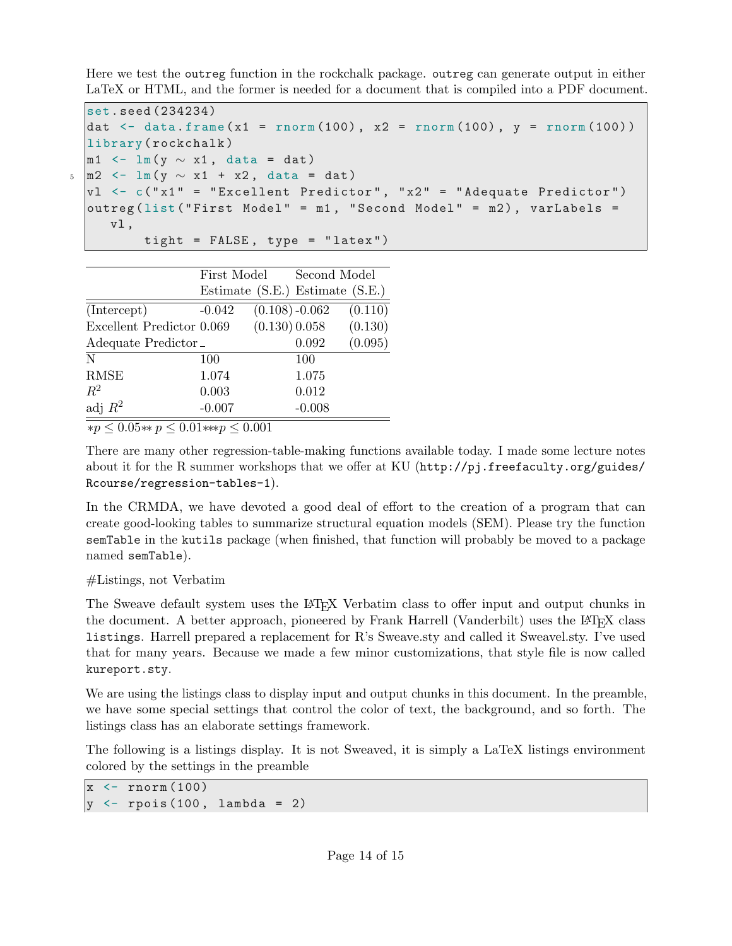Here we test the outreg function in the rockchalk package. outreg can generate output in either LaTeX or HTML, and the former is needed for a document that is compiled into a PDF document.

```
set. seed (234234)
dat \le data.frame (x1 = rnorm (100), x2 = rnorm (100), y = rnorm (100))
library ( rockchalk )
m1 <- lm(y \sim x1, data = dat)
m2 \le - \ln(y \sim x1 + x2, \text{ data} = \text{dat})v1 \le -c ("x1" = "Excellent Predictor", "x2" = "Adequate Predictor")
outreg (list ("First Model" = m1, "Second Model" = m2), varLabels =
   vl ,
        tight = FALSE , type = " latex ")
```

|                           | First Model |                   | Second Model                    |         |
|---------------------------|-------------|-------------------|---------------------------------|---------|
|                           |             |                   | Estimate (S.E.) Estimate (S.E.) |         |
| (Intercept)               | $-0.042$    | $(0.108) - 0.062$ |                                 | (0.110) |
| Excellent Predictor 0.069 |             | (0.130) 0.058     |                                 | (0.130) |
| Adequate Predictor_       |             |                   | 0.092                           | (0.095) |
| N                         | 100         |                   | 100                             |         |
| <b>RMSE</b>               | 1.074       |                   | 1.075                           |         |
| $R^2$                     | 0.003       |                   | 0.012                           |         |
| adj $R^2$                 | $-0.007$    |                   | $-0.008$                        |         |

∗*p* ≤ 0*.*05∗∗ *p* ≤ 0*.*01∗∗∗*p* ≤ 0*.*001

There are many other regression-table-making functions available today. I made some lecture notes about it for the R summer workshops that we offer at KU ([http://pj.freefaculty.org/guides/](http://pj.freefaculty.org/guides/Rcourse/regression-tables-1) [Rcourse/regression-tables-1](http://pj.freefaculty.org/guides/Rcourse/regression-tables-1)).

In the CRMDA, we have devoted a good deal of effort to the creation of a program that can create good-looking tables to summarize structural equation models (SEM). Please try the function semTable in the kutils package (when finished, that function will probably be moved to a package named semTable).

### #Listings, not Verbatim

The Sweave default system uses the LAT<sub>EX</sub> Verbatim class to offer input and output chunks in the document. A better approach, pioneered by Frank Harrell (Vanderbilt) uses the LATEX class listings. Harrell prepared a replacement for R's Sweave.sty and called it Sweavel.sty. I've used that for many years. Because we made a few minor customizations, that style file is now called kureport.sty.

We are using the listings class to display input and output chunks in this document. In the preamble, we have some special settings that control the color of text, the background, and so forth. The listings class has an elaborate settings framework.

The following is a listings display. It is not Sweaved, it is simply a LaTeX listings environment colored by the settings in the preamble

```
x \leftarrow \text{rnorm}(100)|y \leftarrow rpois (100, lambda = 2)
```